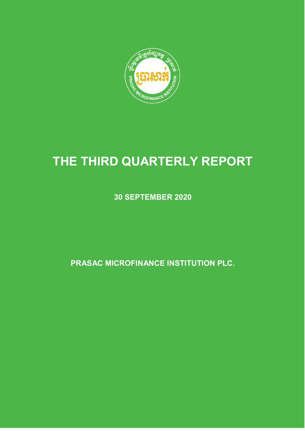

# **THE THIRD QUARTERLY REPORT**

**30 SEPTEMBER 2020**

**PRASAC MICROFINANCE INSTITUTION PLC.**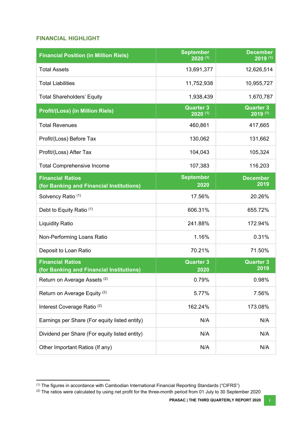#### <span id="page-1-0"></span>**FINANCIAL HIGHLIGHT**

| <b>Financial Position (in Million Riels)</b>                        | <b>September</b><br>$2020^{(1)}$ | <b>December</b><br>$2019^{(1)}$  |
|---------------------------------------------------------------------|----------------------------------|----------------------------------|
| <b>Total Assets</b>                                                 | 13,691,377                       | 12,626,514                       |
| <b>Total Liabilities</b>                                            | 11,752,938                       | 10,955,727                       |
| <b>Total Shareholders' Equity</b>                                   | 1,938,439                        | 1,670,787                        |
| <b>Profit/(Loss) (in Million Riels)</b>                             | <b>Quarter 3</b><br>$2020^{(1)}$ | <b>Quarter 3</b><br>$2019^{(1)}$ |
| <b>Total Revenues</b>                                               | 460,861                          | 417,665                          |
| Profit/(Loss) Before Tax                                            | 130,062                          | 131,662                          |
| Profit/(Loss) After Tax                                             | 104,043                          | 105,324                          |
| <b>Total Comprehensive Income</b>                                   | 107,383                          | 116,203                          |
| <b>Financial Ratios</b><br>(for Banking and Financial Institutions) | <b>September</b><br>2020         | <b>December</b><br>2019          |
| Solvency Ratio <sup>(1)</sup>                                       | 17.56%                           | 20.26%                           |
| Debt to Equity Ratio (1)                                            | 606.31%                          | 655.72%                          |
| <b>Liquidity Ratio</b>                                              | 241.88%                          | 172.94%                          |
| Non-Performing Loans Ratio                                          | 1.16%                            | 0.31%                            |
| Deposit to Loan Ratio                                               | 70.21%                           | 71.50%                           |
| <b>Financial Ratios</b><br>(for Banking and Financial Institutions) | <b>Quarter 3</b><br>2020         | <b>Quarter 3</b><br>2019         |
| Return on Average Assets <sup>(2)</sup>                             | 0.79%                            | 0.98%                            |
| Return on Average Equity <sup>(2)</sup>                             | 5.77%                            | 7.56%                            |
| Interest Coverage Ratio <sup>(2)</sup>                              | 162.24%                          | 173.08%                          |
| Earnings per Share (For equity listed entity)                       | N/A                              | N/A                              |
| Dividend per Share (For equity listed entity)                       | N/A                              | N/A                              |
| Other Important Ratios (If any)                                     | N/A                              | N/A                              |

 (1) The figures in accordance with Cambodian International Financial Reporting Standards ("CIFRS")

 $^{(2)}$  The ratios were calculated by using net profit for the three-month period from 01 July to 30 September 2020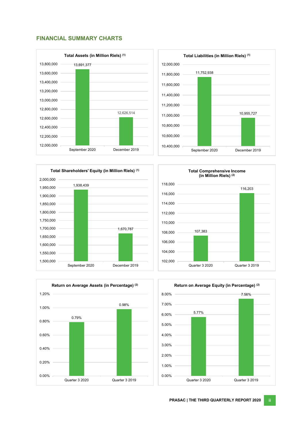#### <span id="page-2-0"></span>**FINANCIAL SUMMARY CHARTS**













**PRASAC | THE THIRD QUARTERLY REPORT 2020 ii**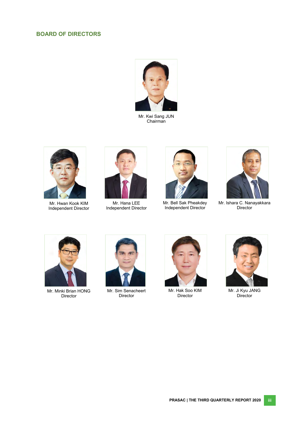#### <span id="page-3-0"></span>**BOARD OF DIRECTORS**



Mr. Kwi Sang JUN Chairman



Mr. Hwan Kook KIM Independent Director



Mr. Hana LEE Independent Director



Mr. Bell Sak Pheakdey Independent Director



Mr. Ishara C. Nanayakkara Director



Mr. Minki Brian HONG Director



Mr. Sim Senacheert Director



Mr. Hak Soo KIM Director



Mr. Ji Kyu JANG Director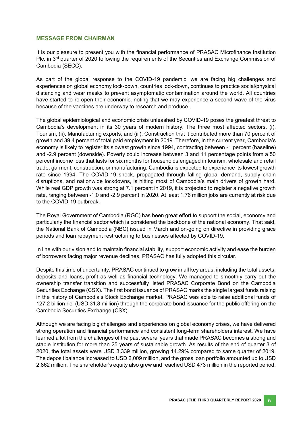#### <span id="page-4-0"></span>**MESSAGE FROM CHAIRMAN**

It is our pleasure to present you with the financial performance of PRASAC Microfinance Institution Plc. in 3<sup>rd</sup> quarter of 2020 following the requirements of the Securities and Exchange Commission of Cambodia (SECC).

As part of the global response to the COVID-19 pandemic, we are facing big challenges and experiences on global economy lock-down, countries lock-down, continues to practice social/physical distancing and wear masks to prevent asymptomatic contamination around the world. All countries have started to re-open their economic, noting that we may experience a second wave of the virus because of the vaccines are underway to research and produce.

The global epidemiological and economic crisis unleashed by COVID-19 poses the greatest threat to Cambodia's development in its 30 years of modern history. The three most affected sectors, (i). Tourism, (ii). Manufacturing exports, and (iii). Construction that it contributed more than 70 percent of growth and 39.4 percent of total paid employment in 2019. Therefore, in the current year, Cambodia's economy is likely to register its slowest growth since 1994, contracting between -1 percent (baseline) and -2.9 percent (downside). Poverty could increase between 3 and 11 percentage points from a 50 percent income loss that lasts for six months for households engaged in tourism, wholesale and retail trade, garment, construction, or manufacturing. Cambodia is expected to experience its lowest growth rate since 1994. The COVID-19 shock, propagated through falling global demand, supply chain disruptions, and nationwide lockdowns, is hitting most of Cambodia's main drivers of growth hard. While real GDP growth was strong at 7.1 percent in 2019, it is projected to register a negative growth rate, ranging between -1.0 and -2.9 percent in 2020. At least 1.76 million jobs are currently at risk due to the COVID-19 outbreak.

The Royal Government of Cambodia (RGC) has been great effort to support the social, economy and particularly the financial sector which is considered the backbone of the national economy. That said, the National Bank of Cambodia (NBC) issued in March and on-going on directive in providing grace periods and loan repayment restructuring to businesses affected by COVID-19.

In line with our vision and to maintain financial stability, support economic activity and ease the burden of borrowers facing major revenue declines, PRASAC has fully adopted this circular.

Despite this time of uncertainty, PRASAC continued to grow in all key areas, including the total assets, deposits and loans, profit as well as financial technology. We managed to smoothly carry out the ownership transfer transition and successfully listed PRASAC Corporate Bond on the Cambodia Securities Exchange (CSX). The first bond issuance of PRASAC marks the single largest funds raising in the history of Cambodia's Stock Exchange market. PRASAC was able to raise additional funds of 127.2 billion riel (USD 31.8 million) through the corporate bond issuance for the public offering on the Cambodia Securities Exchange (CSX).

Although we are facing big challenges and experiences on global economy crises, we have delivered strong operation and financial performance and consistent long-term shareholders interest. We have learned a lot from the challenges of the past several years that made PRASAC becomes a strong and stable institution for more than 25 years of sustainable growth. As results of the end of quarter 3 of 2020, the total assets were USD 3,339 million, growing 14.29% compared to same quarter of 2019. The deposit balance increased to USD 2,009 million, and the gross loan portfolio amounted up to USD 2,862 million. The shareholder's equity also grew and reached USD 473 million in the reported period.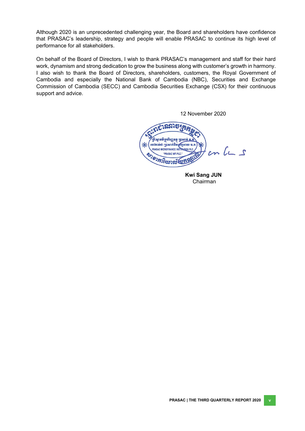Although 2020 is an unprecedented challenging year, the Board and shareholders have confidence that PRASAC's leadership, strategy and people will enable PRASAC to continue its high level of performance for all stakeholders.

On behalf of the Board of Directors, I wish to thank PRASAC's management and staff for their hard work, dynamism and strong dedication to grow the business along with customer's growth in harmony. I also wish to thank the Board of Directors, shareholders, customers, the Royal Government of Cambodia and especially the National Bank of Cambodia (NBC), Securities and Exchange Commission of Cambodia (SECC) and Cambodia Securities Exchange (CSX) for their continuous support and advice.

12 November 2020

<u> ภูราวระ</u> ឌ្រីះស្ថានមីក្រសិរញ្ញនត្ថុ ប្រាសារ ชอว์ตาลอ่า หูถองกำลิ  $cn$   $lc$   $s$ PRASAC MICROFINANCE INSTER "PRASAC MFI PLC." EST OF PRASAC MEI PLC.

 **Kwi Sang JUN**  Chairman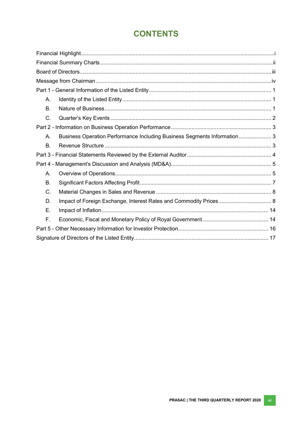# **CONTENTS**

| А.          |                                                                          |  |
|-------------|--------------------------------------------------------------------------|--|
| <b>B.</b>   |                                                                          |  |
| C.          |                                                                          |  |
|             |                                                                          |  |
| Α.          | Business Operation Performance Including Business Segments Information 3 |  |
| <b>B.</b>   |                                                                          |  |
|             |                                                                          |  |
|             |                                                                          |  |
| Α.          |                                                                          |  |
| <b>B.</b>   |                                                                          |  |
| C.          |                                                                          |  |
| D.          |                                                                          |  |
| E.          |                                                                          |  |
| $F_{\cdot}$ |                                                                          |  |
|             |                                                                          |  |
|             |                                                                          |  |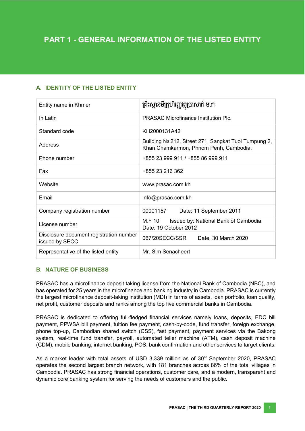# <span id="page-7-0"></span>**A. IDENTITY OF THE LISTED ENTITY**

| Entity name in Khmer                                      | គ្រឹះស្ថានមីក្រូហិរញ្ញវត្ថុប្រាសាក់ ម.ក                                                       |  |  |
|-----------------------------------------------------------|-----------------------------------------------------------------------------------------------|--|--|
| In Latin                                                  | <b>PRASAC Microfinance Institution Plc.</b>                                                   |  |  |
| Standard code                                             | KH2000131A42                                                                                  |  |  |
| Address                                                   | Building № 212, Street 271, Sangkat Tuol Tumpung 2,<br>Khan Chamkarmon, Phnom Penh, Cambodia. |  |  |
| Phone number                                              | +855 23 999 911 / +855 86 999 911                                                             |  |  |
| Fax                                                       | +855 23 216 362                                                                               |  |  |
| Website                                                   | www.prasac.com.kh                                                                             |  |  |
| Email                                                     | info@prasac.com.kh                                                                            |  |  |
| Company registration number                               | 00001157<br>Date: 11 September 2011                                                           |  |  |
| License number                                            | M.F 10<br>Issued by: National Bank of Cambodia<br>Date: 19 October 2012                       |  |  |
| Disclosure document registration number<br>issued by SECC | 067/20SECC/SSR<br>Date: 30 March 2020                                                         |  |  |
| Representative of the listed entity                       | Mr. Sim Senacheert                                                                            |  |  |

#### <span id="page-7-1"></span>**B. NATURE OF BUSINESS**

PRASAC has a microfinance deposit taking license from the National Bank of Cambodia (NBC), and has operated for 25 years in the microfinance and banking industry in Cambodia. PRASAC is currently the largest microfinance deposit-taking institution (MDI) in terms of assets, loan portfolio, loan quality, net profit, customer deposits and ranks among the top five commercial banks in Cambodia.

PRASAC is dedicated to offering full-fledged financial services namely loans, deposits, EDC bill payment, PPWSA bill payment, tuition fee payment, cash-by-code, fund transfer, foreign exchange, phone top-up, Cambodian shared switch (CSS), fast payment, payment services via the Bakong system, real-time fund transfer, payroll, automated teller machine (ATM), cash deposit machine (CDM), mobile banking, internet banking, POS, bank confirmation and other services to target clients.

As a market leader with total assets of USD 3,339 million as of 30<sup>st</sup> September 2020, PRASAC operates the second largest branch network, with 181 branches across 86% of the total villages in Cambodia. PRASAC has strong financial operations, customer care, and a modern, transparent and dynamic core banking system for serving the needs of customers and the public.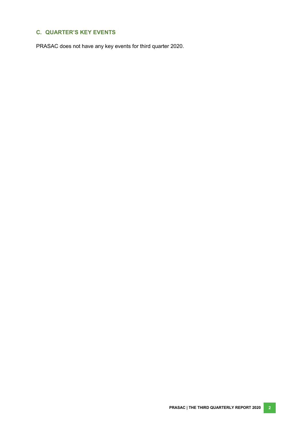# <span id="page-8-0"></span>**C. QUARTER'S KEY EVENTS**

PRASAC does not have any key events for third quarter 2020.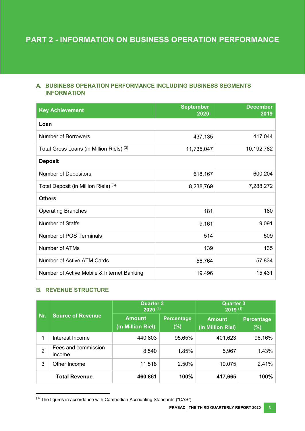# <span id="page-9-0"></span>**A. BUSINESS OPERATION PERFORMANCE INCLUDING BUSINESS SEGMENTS INFORMATION**

| <b>Key Achievement</b>                          | <b>September</b><br>2020 | <b>December</b><br>2019 |  |  |  |  |
|-------------------------------------------------|--------------------------|-------------------------|--|--|--|--|
| Loan                                            |                          |                         |  |  |  |  |
| <b>Number of Borrowers</b>                      | 437,135                  | 417,044                 |  |  |  |  |
| Total Gross Loans (in Million Riels) (3)        | 11,735,047               | 10,192,782              |  |  |  |  |
| <b>Deposit</b>                                  |                          |                         |  |  |  |  |
| <b>Number of Depositors</b>                     | 618,167                  | 600,204                 |  |  |  |  |
| Total Deposit (in Million Riels) <sup>(3)</sup> | 8,238,769                | 7,288,272               |  |  |  |  |
| <b>Others</b>                                   |                          |                         |  |  |  |  |
| <b>Operating Branches</b>                       | 181                      | 180                     |  |  |  |  |
| <b>Number of Staffs</b>                         | 9,161                    | 9,091                   |  |  |  |  |
| Number of POS Terminals                         | 514                      | 509                     |  |  |  |  |
| Number of ATMs                                  | 139                      | 135                     |  |  |  |  |
| Number of Active ATM Cards                      | 56,764                   | 57,834                  |  |  |  |  |
| Number of Active Mobile & Internet Banking      | 19,496                   | 15,431                  |  |  |  |  |

# <span id="page-9-1"></span>**B. REVENUE STRUCTURE**

 $\overline{a}$ 

| Nr.<br><b>Source of Revenue</b> |                                    | <b>Quarter 3</b><br>$2020^{(1)}$ |                                    | <b>Quarter 3</b><br>$2019$ <sup>(1)</sup> |        |  |
|---------------------------------|------------------------------------|----------------------------------|------------------------------------|-------------------------------------------|--------|--|
|                                 | <b>Amount</b><br>(in Million Riel) | <b>Percentage</b><br>$(\%)$      | <b>Amount</b><br>(in Million Riel) | <b>Percentage</b><br>(%)                  |        |  |
| 1                               | Interest Income                    | 440,803                          | 95.65%                             | 401,623                                   | 96.16% |  |
| $\overline{2}$                  | Fees and commission<br>income      | 8,540                            | 1.85%                              | 5,967                                     | 1.43%  |  |
| 3                               | Other Income                       | 11,518                           | 2.50%                              | 10,075                                    | 2.41%  |  |
|                                 | <b>Total Revenue</b>               | 460,861                          | 100%                               | 417,665                                   | 100%   |  |

<sup>(3)</sup> The figures in accordance with Cambodian Accounting Standards ("CAS")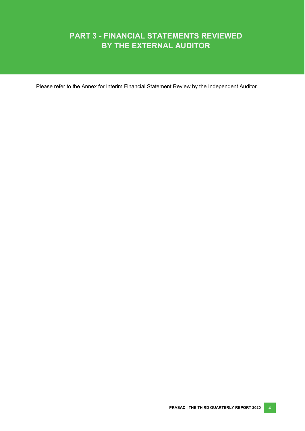# **PART 3 - FINANCIAL STATEMENTS REVIEWED BY THE EXTERNAL AUDITOR**

Please refer to the Annex for Interim Financial Statement Review by the Independent Auditor.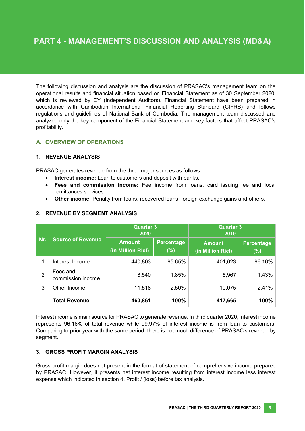The following discussion and analysis are the discussion of PRASAC's management team on the operational results and financial situation based on Financial Statement as of 30 September 2020, which is reviewed by EY (Independent Auditors). Financial Statement have been prepared in accordance with Cambodian International Financial Reporting Standard (CIFRS) and follows regulations and guidelines of National Bank of Cambodia. The management team discussed and analyzed only the key component of the Financial Statement and key factors that affect PRASAC's profitability.

# <span id="page-11-0"></span>**A. OVERVIEW OF OPERATIONS**

#### **1. REVENUE ANALYSIS**

PRASAC generates revenue from the three major sources as follows:

- **Interest income:** Loan to customers and deposit with banks.
- **Fees and commission income:** Fee income from loans, card issuing fee and local remittances services.
- **Other income:** Penalty from loans, recovered loans, foreign exchange gains and others.

|                |                               | <b>Quarter 3</b><br>2020           | <b>Quarter 3</b><br>2019 |                                    |                   |
|----------------|-------------------------------|------------------------------------|--------------------------|------------------------------------|-------------------|
| Nr.            | <b>Source of Revenue</b>      | <b>Amount</b><br>(in Million Riel) | Percentage<br>$(\%)$     | <b>Amount</b><br>(in Million Riel) | Percentage<br>(%) |
| 1              | Interest Income               | 440,803                            | 95.65%                   | 401,623                            | 96.16%            |
| $\overline{2}$ | Fees and<br>commission income | 8,540                              | 1.85%                    | 5,967                              | 1.43%             |
| 3              | Other Income                  | 11,518                             | 2.50%                    | 10,075                             | 2.41%             |
|                | <b>Total Revenue</b>          | 460,861                            | 100%                     | 417,665                            | 100%              |

# **2. REVENUE BY SEGMENT ANALYSIS**

Interest income is main source for PRASAC to generate revenue. In third quarter 2020, interest income represents 96.16% of total revenue while 99.97% of interest income is from loan to customers. Comparing to prior year with the same period, there is not much difference of PRASAC's revenue by segment.

#### **3. GROSS PROFIT MARGIN ANALYSIS**

Gross profit margin does not present in the format of statement of comprehensive income prepared by PRASAC. However, it presents net interest income resulting from interest income less interest expense which indicated in section 4. Profit / (loss) before tax analysis.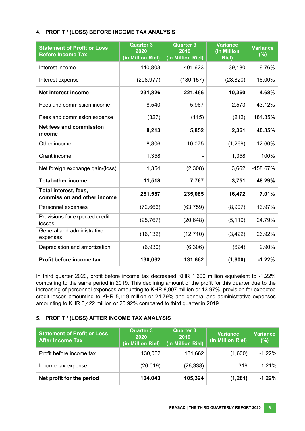#### **4. PROFIT / (LOSS) BEFORE INCOME TAX ANALYSIS**

| <b>Statement of Profit or Loss</b><br><b>Before Income Tax</b> | <b>Quarter 3</b><br>2020<br>(in Million Riel) | <b>Quarter 3</b><br>2019<br>(in Million Riel) | <b>Variance</b><br>(in Million<br><b>Riel)</b> | <b>Variance</b><br>(%) |
|----------------------------------------------------------------|-----------------------------------------------|-----------------------------------------------|------------------------------------------------|------------------------|
| Interest income                                                | 440,803                                       | 401,623                                       | 39,180                                         | 9.76%                  |
| Interest expense                                               | (208, 977)                                    | (180, 157)                                    | (28, 820)                                      | 16.00%                 |
| <b>Net interest income</b>                                     | 231,826                                       | 221,466                                       | 10,360                                         | 4.68%                  |
| Fees and commission income                                     | 8,540                                         | 5,967                                         | 2,573                                          | 43.12%                 |
| Fees and commission expense                                    | (327)                                         | (115)                                         | (212)                                          | 184.35%                |
| <b>Net fees and commission</b><br>income                       | 8,213                                         | 5,852                                         | 2,361                                          | 40.35%                 |
| Other income                                                   | 8,806                                         | 10,075                                        | (1,269)                                        | $-12.60%$              |
| Grant income                                                   | 1,358                                         |                                               | 1,358                                          | 100%                   |
| Net foreign exchange gain/(loss)                               | 1,354                                         | (2,308)                                       | 3,662                                          | $-158.67%$             |
| <b>Total other income</b>                                      | 11,518                                        | 7,767                                         | 3,751                                          | 48.29%                 |
| Total interest, fees,<br>commission and other income           | 251,557                                       | 235,085                                       | 16,472                                         | 7.01%                  |
| Personnel expenses                                             | (72, 666)                                     | (63, 759)                                     | (8,907)                                        | 13.97%                 |
| Provisions for expected credit<br>losses                       | (25, 767)                                     | (20, 648)                                     | (5, 119)                                       | 24.79%                 |
| General and administrative<br>expenses                         | (16, 132)                                     | (12, 710)                                     | (3, 422)                                       | 26.92%                 |
| Depreciation and amortization                                  | (6,930)                                       | (6,306)                                       | (624)                                          | 9.90%                  |
| Profit before income tax                                       | 130,062                                       | 131,662                                       | (1,600)                                        | $-1.22%$               |

In third quarter 2020, profit before income tax decreased KHR 1,600 million equivalent to -1.22% comparing to the same period in 2019. This declining amount of the profit for this quarter due to the increasing of personnel expenses amounting to KHR 8,907 million or 13.97%, provision for expected credit losses amounting to KHR 5,119 million or 24.79% and general and administrative expenses amounting to KHR 3,422 million or 26.92% compared to third quarter in 2019.

#### **5. PROFIT / (LOSS) AFTER INCOME TAX ANALYSIS**

| <b>Statement of Profit or Loss</b><br><b>After Income Tax</b> | <b>Quarter 3</b><br>2020<br>(in Million Riel) | <b>Quarter 3</b><br>2019<br>(in Million Riel) | <b>Variance</b><br>(in Million Riel) | <b>Variance</b><br>(%) |
|---------------------------------------------------------------|-----------------------------------------------|-----------------------------------------------|--------------------------------------|------------------------|
| Profit before income tax                                      | 130,062                                       | 131,662                                       | (1,600)                              | $-1.22%$               |
| Income tax expense                                            | (26, 019)                                     | (26, 338)                                     | 319                                  | $-1.21\%$              |
| Net profit for the period                                     | 104,043                                       | 105,324                                       | (1, 281)                             | $-1.22%$               |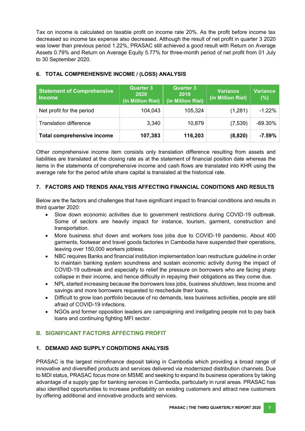Tax on income is calculated on taxable profit on income rate 20%. As the profit before income tax decreased so income tax expense also decreased. Although the result of net profit in quarter 3 2020 was lower than previous period 1.22%, PRASAC still achieved a good result with Return on Average Assets 0.79% and Return on Average Equity 5.77% for three-month period of net profit from 01 July to 30 September 2020.

| <b>Statement of Comprehensive</b><br><b>Income</b> | <b>Quarter 3</b><br>2020<br>(in Million Riel) | <b>Quarter 3</b><br>2019<br>(in Million Riel) | <b>Variance</b><br>(in Million Riel) | <b>Variance</b><br>(%) |
|----------------------------------------------------|-----------------------------------------------|-----------------------------------------------|--------------------------------------|------------------------|
| Net profit for the period                          | 104,043                                       | 105,324                                       | (1,281)                              | $-1.22%$               |
| <b>Translation difference</b>                      | 3,340                                         | 10,879                                        | (7,539)                              | $-69.30\%$             |
| <b>Total comprehensive income</b>                  | 107,383                                       | 116,203                                       | (8,820)                              | $-7.59%$               |

# **6. TOTAL COMPREHENSIVE INCOME / (LOSS) ANALYSIS**

Other comprehensive income item consists only translation difference resulting from assets and liabilities are translated at the closing rate as at the statement of financial position date whereas the items in the statements of comprehensive income and cash flows are translated into KHR using the average rate for the period while share capital is translated at the historical rate.

# **7. FACTORS AND TRENDS ANALYSIS AFFECTING FINANCIAL CONDITIONS AND RESULTS**

Below are the factors and challenges that have significant impact to financial conditions and results in third quarter 2020:

- Slow down economic activities due to government restrictions during COVID-19 outbreak. Some of sectors are heavily impact for instance, tourism, garment, construction and transportation.
- More business shut down and workers loss jobs due to COVID-19 pandemic. About 400 garments, footwear and travel goods factories in Cambodia have suspended their operations, leaving over 150,000 workers jobless.
- NBC requires Banks and financial institution implementation loan restructure guideline in order to maintain banking system soundness and sustain economic activity during the impact of COVID-19 outbreak and especially to relief the pressure on borrowers who are facing sharp collapse in their income, and hence difficulty in repaying their obligations as they come due.
- NPL started increasing because the borrowers loss jobs, business shutdown, less income and savings and more borrowers requested to reschedule their loans.
- Difficult to grow loan portfolio because of no demands, less business activities, people are still afraid of COVID-19 infections.
- NGOs and former opposition leaders are campaigning and instigating people not to pay back loans and continuing fighting MFI sector.

# <span id="page-13-0"></span>**B. SIGNIFICANT FACTORS AFFECTING PROFIT**

# **1. DEMAND AND SUPPLY CONDITIONS ANALYSIS**

PRASAC is the largest microfinance deposit taking in Cambodia which providing a broad range of innovative and diversified products and services delivered via modernized distribution channels. Due to MDI status, PRASAC focus more on MSME and seeking to expand its business operations by taking advantage of a supply gap for banking services in Cambodia, particularly in rural areas. PRASAC has also identified opportunities to increase profitability on existing customers and attract new customers by offering additional and innovative products and services.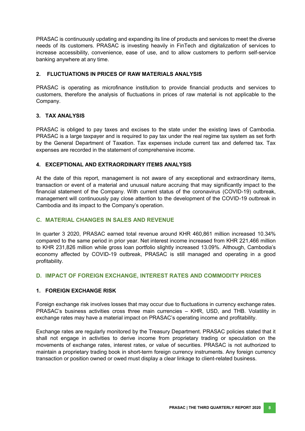PRASAC is continuously updating and expanding its line of products and services to meet the diverse needs of its customers. PRASAC is investing heavily in FinTech and digitalization of services to increase accessibility, convenience, ease of use, and to allow customers to perform self-service banking anywhere at any time.

#### **2. FLUCTUATIONS IN PRICES OF RAW MATERIALS ANALYSIS**

PRASAC is operating as microfinance institution to provide financial products and services to customers, therefore the analysis of fluctuations in prices of raw material is not applicable to the Company.

#### **3. TAX ANALYSIS**

PRASAC is obliged to pay taxes and excises to the state under the existing laws of Cambodia. PRASAC is a large taxpayer and is required to pay tax under the real regime tax system as set forth by the General Department of Taxation. Tax expenses include current tax and deferred tax. Tax expenses are recorded in the statement of comprehensive income.

#### **4. EXCEPTIONAL AND EXTRAORDINARY ITEMS ANALYSIS**

At the date of this report, management is not aware of any exceptional and extraordinary items, transaction or event of a material and unusual nature accruing that may significantly impact to the financial statement of the Company. With current status of the coronavirus (COVID-19) outbreak, management will continuously pay close attention to the development of the COVID-19 outbreak in Cambodia and its impact to the Company's operation.

#### <span id="page-14-0"></span>**C. MATERIAL CHANGES IN SALES AND REVENUE**

In quarter 3 2020, PRASAC earned total revenue around KHR 460,861 million increased 10.34% compared to the same period in prior year. Net interest income increased from KHR 221,466 million to KHR 231,826 million while gross loan portfolio slightly increased 13.09%. Although, Cambodia's economy affected by COVID-19 outbreak, PRASAC is still managed and operating in a good profitability.

#### <span id="page-14-1"></span>**D. IMPACT OF FOREIGN EXCHANGE, INTEREST RATES AND COMMODITY PRICES**

#### **1. FOREIGN EXCHANGE RISK**

Foreign exchange risk involves losses that may occur due to fluctuations in currency exchange rates. PRASAC's business activities cross three main currencies – KHR, USD, and THB. Volatility in exchange rates may have a material impact on PRASAC's operating income and profitability.

Exchange rates are regularly monitored by the Treasury Department. PRASAC policies stated that it shall not engage in activities to derive income from proprietary trading or speculation on the movements of exchange rates, interest rates, or value of securities. PRASAC is not authorized to maintain a proprietary trading book in short-term foreign currency instruments. Any foreign currency transaction or position owned or owed must display a clear linkage to client-related business.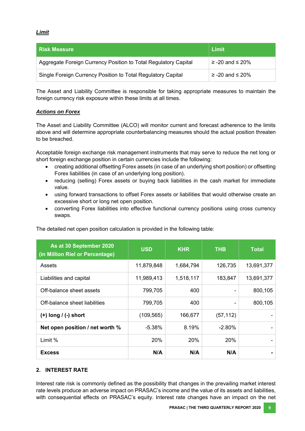#### *Limit*

| <b>Risk Measure</b>                                             | ∣ Limit                 |
|-----------------------------------------------------------------|-------------------------|
| Aggregate Foreign Currency Position to Total Regulatory Capital | $\ge$ -20 and $\le$ 20% |
| Single Foreign Currency Position to Total Regulatory Capital    | $\ge$ -20 and $\le$ 20% |

The Asset and Liability Committee is responsible for taking appropriate measures to maintain the foreign currency risk exposure within these limits at all times.

#### *Actions on Forex*

The Asset and Liability Committee (ALCO) will monitor current and forecast adherence to the limits above and will determine appropriate counterbalancing measures should the actual position threaten to be breached.

Acceptable foreign exchange risk management instruments that may serve to reduce the net long or short foreign exchange position in certain currencies include the following:

- creating additional offsetting Forex assets (in case of an underlying short position) or offsetting Forex liabilities (in case of an underlying long position).
- reducing (selling) Forex assets or buying back liabilities in the cash market for immediate value.
- using forward transactions to offset Forex assets or liabilities that would otherwise create an excessive short or long net open position.
- converting Forex liabilities into effective functional currency positions using cross currency swaps.

| As at 30 September 2020<br>(in Million Riel or Percentage) | <b>USD</b><br><b>KHR</b> |           | <b>THB</b> | Total      |
|------------------------------------------------------------|--------------------------|-----------|------------|------------|
| Assets                                                     | 11,879,848               | 1,684,794 | 126,735    | 13,691,377 |
| Liabilities and capital                                    | 11,989,413               | 1,518,117 | 183,847    | 13,691,377 |
| Off-balance sheet assets                                   | 799,705                  | 400       |            | 800,105    |
| Off-balance sheet liabilities                              | 799,705                  | 400       |            | 800,105    |
| $(+)$ long $/$ (-) short                                   | (109, 565)               | 166,677   | (57, 112)  |            |
| Net open position / net worth %                            | $-5.38%$                 | 8.19%     | $-2.80%$   |            |
| Limit %                                                    | 20%                      | 20%       | 20%        |            |
| <b>Excess</b>                                              | N/A                      | N/A       | N/A        |            |

The detailed net open position calculation is provided in the following table:

#### **2. INTEREST RATE**

Interest rate risk is commonly defined as the possibility that changes in the prevailing market interest rate levels produce an adverse impact on PRASAC's income and the value of its assets and liabilities, with consequential effects on PRASAC's equity. Interest rate changes have an impact on the net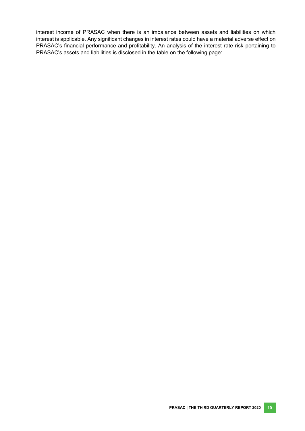interest income of PRASAC when there is an imbalance between assets and liabilities on which interest is applicable. Any significant changes in interest rates could have a material adverse effect on PRASAC's financial performance and profitability. An analysis of the interest rate risk pertaining to PRASAC's assets and liabilities is disclosed in the table on the following page: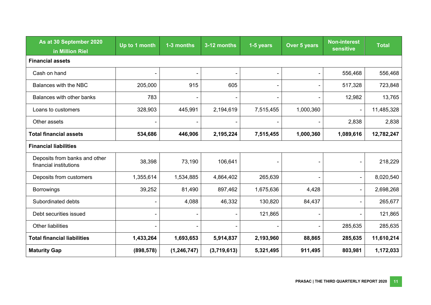| As at 30 September 2020<br>in Million Riel              | Up to 1 month | 1-3 months               | 3-12 months | 1-5 years | Over 5 years             | <b>Non-interest</b><br><b>sensitive</b> | Total      |
|---------------------------------------------------------|---------------|--------------------------|-------------|-----------|--------------------------|-----------------------------------------|------------|
| <b>Financial assets</b>                                 |               |                          |             |           |                          |                                         |            |
| Cash on hand                                            |               | $\overline{\phantom{0}}$ |             |           | $\overline{\phantom{a}}$ | 556,468                                 | 556,468    |
| Balances with the NBC                                   | 205,000       | 915                      | 605         |           | $\overline{\phantom{a}}$ | 517,328                                 | 723,848    |
| Balances with other banks                               | 783           | $\overline{\phantom{a}}$ |             |           | $\overline{\phantom{a}}$ | 12,982                                  | 13,765     |
| Loans to customers                                      | 328,903       | 445,991                  | 2,194,619   | 7,515,455 | 1,000,360                | $\overline{\phantom{a}}$                | 11,485,328 |
| Other assets                                            |               |                          |             |           |                          | 2,838                                   | 2,838      |
| <b>Total financial assets</b>                           | 534,686       | 446,906                  | 2,195,224   | 7,515,455 | 1,000,360                | 1,089,616                               | 12,782,247 |
| <b>Financial liabilities</b>                            |               |                          |             |           |                          |                                         |            |
| Deposits from banks and other<br>financial institutions | 38,398        | 73,190                   | 106,641     |           |                          |                                         | 218,229    |
| Deposits from customers                                 | 1,355,614     | 1,534,885                | 4,864,402   | 265,639   | $\overline{\phantom{a}}$ |                                         | 8,020,540  |
| <b>Borrowings</b>                                       | 39,252        | 81,490                   | 897,462     | 1,675,636 | 4,428                    |                                         | 2,698,268  |
| Subordinated debts                                      |               | 4,088                    | 46,332      | 130,820   | 84,437                   |                                         | 265,677    |
| Debt securities issued                                  |               | $\overline{\phantom{a}}$ |             | 121,865   | $\overline{\phantom{a}}$ | $\overline{\phantom{a}}$                | 121,865    |
| Other liabilities                                       |               | $\overline{\phantom{a}}$ |             |           | $\overline{\phantom{a}}$ | 285,635                                 | 285,635    |
| <b>Total financial liabilities</b>                      | 1,433,264     | 1,693,653                | 5,914,837   | 2,193,960 | 88,865                   | 285,635                                 | 11,610,214 |
| <b>Maturity Gap</b>                                     | (898, 578)    | (1, 246, 747)            | (3,719,613) | 5,321,495 | 911,495                  | 803,981                                 | 1,172,033  |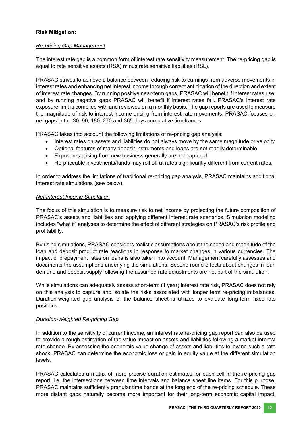#### **Risk Mitigation:**

#### *Re-pricing Gap Management*

The interest rate gap is a common form of interest rate sensitivity measurement. The re-pricing gap is equal to rate sensitive assets (RSA) minus rate sensitive liabilities (RSL).

PRASAC strives to achieve a balance between reducing risk to earnings from adverse movements in interest rates and enhancing net interest income through correct anticipation of the direction and extent of interest rate changes. By running positive near-term gaps, PRASAC will benefit if interest rates rise, and by running negative gaps PRASAC will benefit if interest rates fall. PRASAC's interest rate exposure limit is complied with and reviewed on a monthly basis. The gap reports are used to measure the magnitude of risk to interest income arising from interest rate movements. PRASAC focuses on net gaps in the 30, 90, 180, 270 and 365-days cumulative timeframes.

PRASAC takes into account the following limitations of re-pricing gap analysis:

- Interest rates on assets and liabilities do not always move by the same magnitude or velocity
- Optional features of many deposit instruments and loans are not readily determinable
- Exposures arising from new business generally are not captured
- Re-priceable investments/funds may roll off at rates significantly different from current rates.

In order to address the limitations of traditional re-pricing gap analysis, PRASAC maintains additional interest rate simulations (see below).

#### *Net Interest Income Simulation*

The focus of this simulation is to measure risk to net income by projecting the future composition of PRASAC's assets and liabilities and applying different interest rate scenarios. Simulation modeling includes "what if" analyses to determine the effect of different strategies on PRASAC's risk profile and profitability.

By using simulations, PRASAC considers realistic assumptions about the speed and magnitude of the loan and deposit product rate reactions in response to market changes in various currencies. The impact of prepayment rates on loans is also taken into account. Management carefully assesses and documents the assumptions underlying the simulations. Second round effects about changes in loan demand and deposit supply following the assumed rate adjustments are not part of the simulation.

While simulations can adequately assess short-term (1 year) interest rate risk, PRASAC does not rely on this analysis to capture and isolate the risks associated with longer term re-pricing imbalances. Duration-weighted gap analysis of the balance sheet is utilized to evaluate long-term fixed-rate positions.

#### *Duration-Weighted Re-pricing Gap*

In addition to the sensitivity of current income, an interest rate re-pricing gap report can also be used to provide a rough estimation of the value impact on assets and liabilities following a market interest rate change. By assessing the economic value change of assets and liabilities following such a rate shock, PRASAC can determine the economic loss or gain in equity value at the different simulation levels.

PRASAC calculates a matrix of more precise duration estimates for each cell in the re-pricing gap report, i.e. the intersections between time intervals and balance sheet line items. For this purpose, PRASAC maintains sufficiently granular time bands at the long end of the re-pricing schedule. These more distant gaps naturally become more important for their long-term economic capital impact.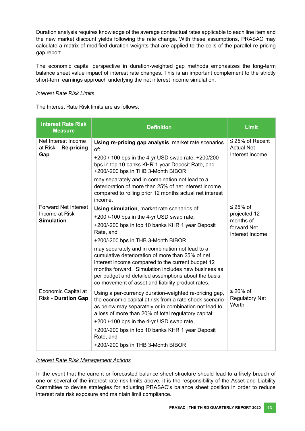Duration analysis requires knowledge of the average contractual rates applicable to each line item and the new market discount yields following the rate change. With these assumptions, PRASAC may calculate a matrix of modified duration weights that are applied to the cells of the parallel re-pricing gap report.

The economic capital perspective in duration-weighted gap methods emphasizes the long-term balance sheet value impact of interest rate changes. This is an important complement to the strictly short-term earnings approach underlying the net interest income simulation.

#### *Interest Rate Risk Limits*

The Interest Rate Risk limits are as follows:

| <b>Interest Rate Risk</b><br><b>Measure</b>                          | <b>Definition</b>                                                                                                                                                                                                                                                                                                                                                                                                                                                                                                              | <b>Limit</b>                                                             |
|----------------------------------------------------------------------|--------------------------------------------------------------------------------------------------------------------------------------------------------------------------------------------------------------------------------------------------------------------------------------------------------------------------------------------------------------------------------------------------------------------------------------------------------------------------------------------------------------------------------|--------------------------------------------------------------------------|
| Net Interest Income<br>at Risk - Re-pricing<br>Gap                   | Using re-pricing gap analysis, market rate scenarios<br>of:<br>+200 /-100 bps in the 4-yr USD swap rate, +200/200<br>bps in top 10 banks KHR 1 year Deposit Rate, and<br>+200/-200 bps in THB 3-Month BIBOR<br>may separately and in combination not lead to a<br>deterioration of more than 25% of net interest income<br>compared to rolling prior 12 months actual net interest<br>income.                                                                                                                                  | $\leq$ 25% of Recent<br><b>Actual Net</b><br>Interest Income             |
| <b>Forward Net Interest</b><br>Income at Risk -<br><b>Simulation</b> | Using simulation, market rate scenarios of:<br>+200 /-100 bps in the 4-yr USD swap rate,<br>+200/-200 bps in top 10 banks KHR 1 year Deposit<br>Rate, and<br>+200/-200 bps in THB 3-Month BIBOR<br>may separately and in combination not lead to a<br>cumulative deterioration of more than 25% of net<br>interest income compared to the current budget 12<br>months forward. Simulation includes new business as<br>per budget and detailed assumptions about the basis<br>co-movement of asset and liability product rates. | ≤ 25% of<br>projected 12-<br>months of<br>forward Net<br>Interest Income |
| Economic Capital at<br><b>Risk - Duration Gap</b>                    | Using a per-currency duration-weighted re-pricing gap,<br>the economic capital at risk from a rate shock scenario<br>as below may separately or in combination not lead to<br>a loss of more than 20% of total regulatory capital:<br>+200 /-100 bps in the 4-yr USD swap rate,<br>+200/-200 bps in top 10 banks KHR 1 year Deposit<br>Rate, and<br>+200/-200 bps in THB 3-Month BIBOR                                                                                                                                         | $\leq$ 20% of<br><b>Regulatory Net</b><br>Worth                          |

#### *Interest Rate Risk Management Actions*

In the event that the current or forecasted balance sheet structure should lead to a likely breach of one or several of the interest rate risk limits above, it is the responsibility of the Asset and Liability Committee to devise strategies for adjusting PRASAC's balance sheet position in order to reduce interest rate risk exposure and maintain limit compliance.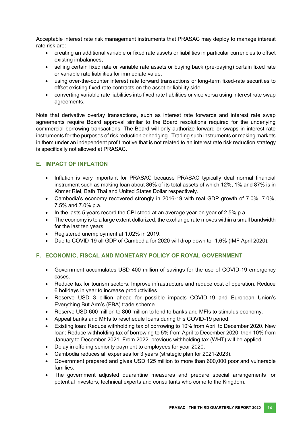Acceptable interest rate risk management instruments that PRASAC may deploy to manage interest rate risk are:

- creating an additional variable or fixed rate assets or liabilities in particular currencies to offset existing imbalances,
- selling certain fixed rate or variable rate assets or buying back (pre-paying) certain fixed rate or variable rate liabilities for immediate value,
- using over-the-counter interest rate forward transactions or long-term fixed-rate securities to offset existing fixed rate contracts on the asset or liability side,
- converting variable rate liabilities into fixed rate liabilities or vice versa using interest rate swap agreements.

Note that derivative overlay transactions, such as interest rate forwards and interest rate swap agreements require Board approval similar to the Board resolutions required for the underlying commercial borrowing transactions. The Board will only authorize forward or swaps in interest rate instruments for the purposes of risk reduction or hedging. Trading such instruments or making markets in them under an independent profit motive that is not related to an interest rate risk reduction strategy is specifically not allowed at PRASAC.

#### <span id="page-20-0"></span>**E. IMPACT OF INFLATION**

- Inflation is very important for PRASAC because PRASAC typically deal normal financial instrument such as making loan about 86% of its total assets of which 12%, 1% and 87% is in Khmer Riel, Bath Thai and United States Dollar respectively.
- Cambodia's economy recovered strongly in 2016-19 with real GDP growth of 7.0%, 7.0%, 7.5% and 7.0% p.a.
- In the lasts 5 years record the CPI stood at an average year-on year of 2.5% p.a.
- The economy is to a large extent dollarized; the exchange rate moves within a small bandwidth for the last ten years.
- Registered unemployment at 1.02% in 2019.
- Due to COVID-19 all GDP of Cambodia for 2020 will drop down to -1.6% (IMF April 2020).

# <span id="page-20-1"></span>**F. ECONOMIC, FISCAL AND MONETARY POLICY OF ROYAL GOVERNMENT**

- Government accumulates USD 400 million of savings for the use of COVID-19 emergency cases.
- Reduce tax for tourism sectors. Improve infrastructure and reduce cost of operation. Reduce 6 holidays in year to increase productivities.
- Reserve USD 3 billion ahead for possible impacts COVID-19 and European Union's Everything But Arm's (EBA) trade scheme.
- Reserve USD 600 million to 800 million to lend to banks and MFIs to stimulus economy.
- Appeal banks and MFIs to reschedule loans during this COVID-19 period.
- Existing loan: Reduce withholding tax of borrowing to 10% from April to December 2020. New loan: Reduce withholding tax of borrowing to 5% from April to December 2020, then 10% from January to December 2021. From 2022, previous withholding tax (WHT) will be applied.
- Delay in offering seniority payment to employees for year 2020.
- Cambodia reduces all expenses for 3 years (strategic plan for 2021-2023).
- Government prepared and gives USD 125 million to more than 600,000 poor and vulnerable families.
- The government adjusted quarantine measures and prepare special arrangements for potential investors, technical experts and consultants who come to the Kingdom.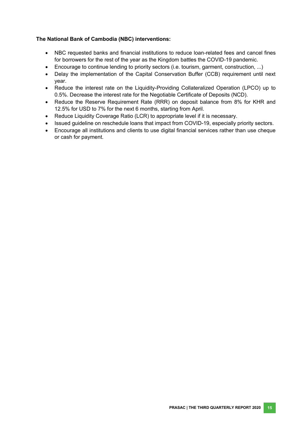#### **The National Bank of Cambodia (NBC) interventions:**

- NBC requested banks and financial institutions to reduce loan-related fees and cancel fines for borrowers for the rest of the year as the Kingdom battles the COVID-19 pandemic.
- Encourage to continue lending to priority sectors (i.e. tourism, garment, construction, ...)
- Delay the implementation of the Capital Conservation Buffer (CCB) requirement until next year.
- Reduce the interest rate on the Liquidity-Providing Collateralized Operation (LPCO) up to 0.5%. Decrease the interest rate for the Negotiable Certificate of Deposits (NCD).
- Reduce the Reserve Requirement Rate (RRR) on deposit balance from 8% for KHR and 12.5% for USD to 7% for the next 6 months, starting from April.
- Reduce Liquidity Coverage Ratio (LCR) to appropriate level if it is necessary.
- Issued guideline on reschedule loans that impact from COVID-19, especially priority sectors.
- Encourage all institutions and clients to use digital financial services rather than use cheque or cash for payment.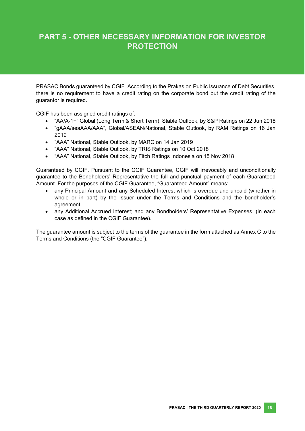# **PART 5 - OTHER NECESSARY INFORMATION FOR INVESTOR PROTECTION**

PRASAC Bonds guaranteed by CGIF. According to the Prakas on Public Issuance of Debt Securities, there is no requirement to have a credit rating on the corporate bond but the credit rating of the guarantor is required.

CGIF has been assigned credit ratings of:

- "AA/A-1+" Global (Long Term & Short Term), Stable Outlook, by S&P Ratings on 22 Jun 2018
- "gAAA/seaAAA/AAA", Global/ASEAN/National, Stable Outlook, by RAM Ratings on 16 Jan 2019
- "AAA" National, Stable Outlook, by MARC on 14 Jan 2019
- "AAA" National, Stable Outlook, by TRIS Ratings on 10 Oct 2018
- "AAA" National, Stable Outlook, by Fitch Ratings Indonesia on 15 Nov 2018

Guaranteed by CGIF. Pursuant to the CGIF Guarantee, CGIF will irrevocably and unconditionally guarantee to the Bondholders' Representative the full and punctual payment of each Guaranteed Amount. For the purposes of the CGIF Guarantee, "Guaranteed Amount" means:

- any Principal Amount and any Scheduled Interest which is overdue and unpaid (whether in whole or in part) by the Issuer under the Terms and Conditions and the bondholder's agreement;
- any Additional Accrued Interest; and any Bondholders' Representative Expenses, (in each case as defined in the CGIF Guarantee).

The guarantee amount is subject to the terms of the guarantee in the form attached as Annex C to the Terms and Conditions (the "CGIF Guarantee").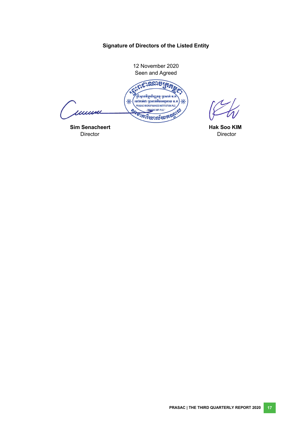# **Signature of Directors of the Listed Entity**

<span id="page-23-0"></span>

**Sim Senacheert Hak Soo KIM** Director **Hak Soo KIM Director Director** Director **Director Director Director Director**